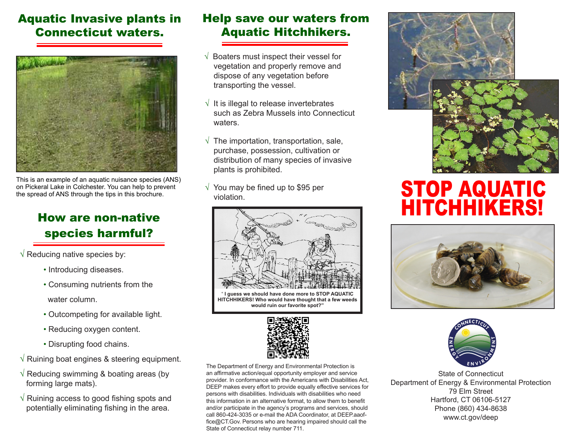#### Aquatic Invasive plants in Connecticut waters.



This is an example of an aquatic nuisance species (ANS) on Pickeral Lake in Colchester. You can help to prevent the spread of ANS through the tips in this brochure.

## How are non-native species harmful?

- $\sqrt{\ }$  Reducing native species by:
	- Introducing diseases.
	- Consuming nutrients from the

water column.

- Outcompeting for available light.
- Reducing oxygen content.
- Disrupting food chains.
- √ Ruining boat engines & steering equipment.
- $\sqrt{ }$  Reducing swimming & boating areas (by forming large mats).
- √ Ruining access to good fishing spots and potentially eliminating fishing in the area.

#### Help save our waters from Aquatic Hitchhikers.

- √ Boaters must inspect their vessel for vegetation and properly remove and dispose of any vegetation before transporting the vessel.
- $\sqrt{\ }$  It is illegal to release invertebrates such as Zebra Mussels into Connecticut waters.
- $\sqrt{\ }$  The importation, transportation, sale, purchase, possession, cultivation or distribution of many species of invasive plants is prohibited.
- $\sqrt{}$  You may be fined up to \$95 per



" **I guess we should have done more to STOP AQUATIC HITCHHIKERS! Who would have thought that a few weeds would ruin our favorite spot?"**



The Department of Energy and Environmental Protection is an affirmative action/equal opportunity employer and service provider. In conformance with the Americans with Disabilities Act, DEEP makes every effort to provide equally effective services for persons with disabilities. Individuals with disabilities who need this information in an alternative format, to allow them to benefit and/or participate in the agency's programs and services, should call 860-424-3035 or e-mail the ADA Coordinator, at DEEP.aaoffice@CT.Gov. Persons who are hearing impaired should call the State of Connecticut relay number 711.



# You may be fined up to \$95 per<br>violation. **HITCHHIKERS!**





State of Connecticut Department of Energy & Environmental Protection 79 Elm Street Hartford, CT 06106-5127 Phone (860) 434-8638 www.ct.gov/deep